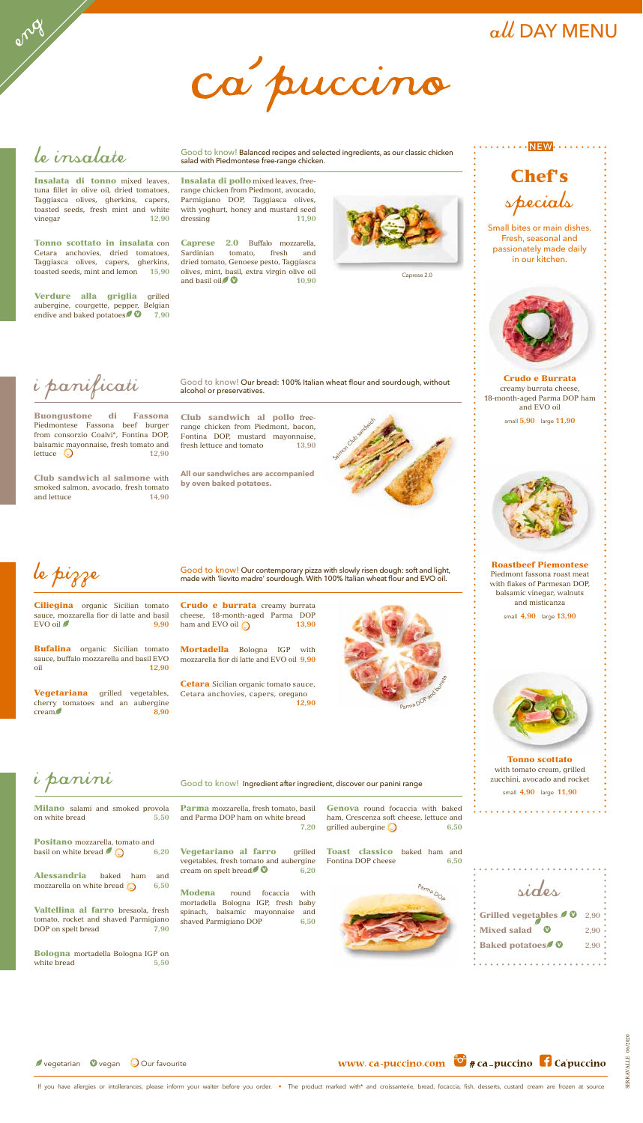Club sandwich al salmone with smoked salmon, avocado, fresh tomato and lettuce **14,90** 

Milano salami and smoked provola on white bread **5,50** 

Valtellina al farro bresaola, fresh tomato, rocket and shaved Parmigiano DOP on spelt bread  $\overline{7,90}$ 

Club sandwich al pollo freerange chicken from Piedmont, bacon, Fontina DOP, mustard mayonnaise, fresh lettuce and tomato **13,90**

Bologna mortadella Bologna IGP on white bread **5.50** 

Vegetariano al farro grilled vegetables, fresh tomato and aubergine cream on spelt bread  $\bullet$  6,20

**All our sandwiches are accompanied by oven baked potatoes.**

Parma mozzarella, fresh tomato, basil and Parma DOP ham on white bread **7,20**



Alessandria baked ham and mozzarella on white bread **6,50**

Genova round focaccia with baked ham, Crescenza soft cheese, lettuce and grilled aubergine **6,50**

Le pizza with slowly risen dough: soft and light,<br>made with 'lievito madre' sourdough. With 100% Italian wheat flour and EVO oil. made with 'lievito madre' sourdough. With 100% Italian wheat flour and EVO oil.

Ciliegina organic Sicilian tomato sauce, mozzarella fior di latte and basil EVO oil **9,90**

Bufalina organic Sicilian tomato sauce, buffalo mozzarella and basil EVO oil **12,90**

Vegetariana grilled vegetables, cherry tomatoes and an aubergine cream **8,90** 

Crudo e burrata creamy burrata cheese, 18-month-aged Parma DOP ham and EVO oil **13,90** 

Modena round focaccia with mortadella Bologna IGP, fresh baby spinach, balsamic mayonnaise and shaved Parmigiano DOP **6,50**

# i panini

Toast classico baked ham and Fontina DOP cheese **6,50**

Good to know! Ingredient after ingredient, discover our panini range



Insalata di tonno mixed leaves. tuna fillet in olive oil, dried tomatoes, Taggiasca olives, gherkins, capers, toasted seeds, fresh mint and white vinegar **12,90**

Verdure alla griglia grilled aubergine, courgette, pepper, Belgian endive and baked potatoes **0** 7,90

Caprese 2.0 Buffalo mozzarella, Sardinian tomato, fresh and dried tomato, Genoese pesto, Taggiasca olives, mint, basil, extra virgin olive oil and basil oil $\sqrt{\phantom{a}}$   $\sqrt{\phantom{a}}$   $\sqrt{\phantom{a}}$   $\sqrt{\phantom{a}}$   $\sqrt{\phantom{a}}$   $\sqrt{\phantom{a}}$   $\sqrt{\phantom{a}}$   $\sqrt{\phantom{a}}$   $\sqrt{\phantom{a}}$   $\sqrt{\phantom{a}}$   $\sqrt{\phantom{a}}$   $\sqrt{\phantom{a}}$   $\sqrt{\phantom{a}}$   $\sqrt{\phantom{a}}$   $\sqrt{\phantom{a}}$   $\sqrt{\phantom{a}}$   $\sqrt{\phantom{a}}$   $\sqrt{\phantom{a}}$   $\sqrt{\phantom{a}}$ 



Mortadella Bologna IGP with mozzarella fior di latte and EVO oil **9,90**



Cetara anchovies, capers, oregano

Crudo e Burrata creamy burrata cheese, 18-month-aged Parma DOP ham and EVO oil

small **5,90** large **11,90**



Roastbeef Piemontese Piedmont fassona roast meat with flakes of Parmesan DOP, balsamic vinegar, walnuts and misticanza

small **4,90** large **13,90**



Tonno scottato with tomato cream, grilled zucchini, avocado and rocket small **4,90** large **11,90**

i panificati

Buongustone di Fassona Piedmontese Fassona beef burger from consorzio Coalvi\*, Fontina DOP, balsamic mayonnaise, fresh tomato and lettuce  $\bigcirc$  12.90

# ca puccino

le insalate

Good to know! Our bread: 100% Italian wheat flour and sourdough, without alcohol or preservatives.



Tonno scottato in insalata con Cetara anchovies, dried tomatoes, Taggiasca olives, capers, gherkins, toasted seeds, mint and lemon **15,90**





If you have allergies or intollerances, please inform your waiter before you order. . The product marked with\* and croissanterie, bread, focaccia, fish, desserts, custard cream are frozen at source

Good to know! Balanced recipes and selected ingredients, as our classic chicken salad with Piedmontese free-range chicken.

Insalata di pollo mixed leaves, freerange chicken from Piedmont, avocado, Parmigiano DOP, Taggiasca olives, with yoghurt, honey and mustard seed dressing **11,90**



 $all$  DAY MENU

Small bites or main dishes. Fresh, seasonal and passionately made daily in our kitchen.



Caprese 2.0

| sides                 |          |
|-----------------------|----------|
|                       |          |
|                       |          |
| Grilled vegetables 20 | 2,90     |
| <b>Mixed salad</b>    | 2,90     |
| <b>Baked potatoes</b> | $2,90$ . |
|                       |          |